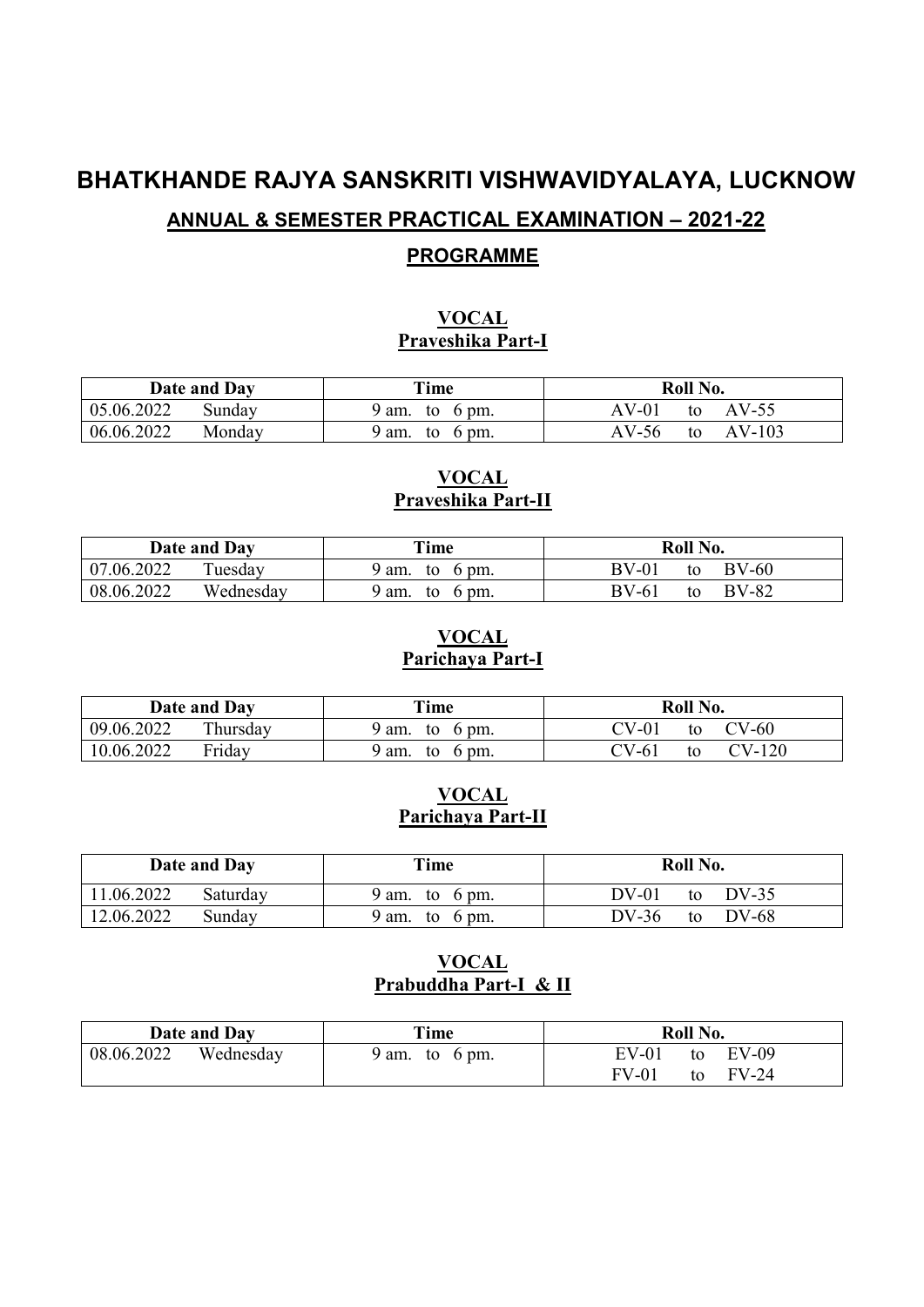# **BHATKHANDE RAJYA SANSKRITI VISHWAVIDYALAYA, LUCKNOW ANNUAL & SEMESTER PRACTICAL EXAMINATION – 2021-22 PROGRAMME**

# **VOCAL**

# **Praveshika Part-I**

| Date and Day         | Time                           | Roll No.                |
|----------------------|--------------------------------|-------------------------|
| 05.06.2022<br>Sunday | $9 \text{ am.}$<br>6 pm.<br>to | AV-01<br>$AV-55$<br>to  |
| 06.06.2022<br>Monday | ∤ am.<br>6 pm.<br>to           | $AV-103$<br>AV-56<br>to |

# **VOCAL Praveshika Part-II**

|            | Date and Day | Time                                      | Roll No.                      |
|------------|--------------|-------------------------------------------|-------------------------------|
| 07.06.2022 | Tuesday      | 9 am.<br>6 pm.<br>to                      | $BV-60$<br>$BV-01$<br>to      |
| 08.06.2022 | Wednesday    | $^{\prime}$ am.<br>$6 \text{ pm}$ .<br>to | <b>BV-82</b><br>$BV-61$<br>to |

# **VOCAL Parichaya Part-I**

|            | Date and Day | Time                          | Roll No.               |
|------------|--------------|-------------------------------|------------------------|
| 09.06.2022 | Thursday     | 9 am.<br>6 pm.<br>to          | $CV-60$<br>7V-01<br>to |
| 10.06.2022 | Friday       | 6 pm.<br>$^{\circ}$ am.<br>to | CV-120<br>CV-61<br>to  |

#### **VOCAL Parichaya Part-II**

|            | Date and Day | Time           | Roll No.               |
|------------|--------------|----------------|------------------------|
| 11.06.2022 | Saturday     | 9 am. to 6 pm. | DV-01<br>DV-35<br>to   |
| 12.06.2022 | Sunday       | 9 am. to 6 pm. | $DV-36$<br>DV-68<br>to |

# **VOCAL Prabuddha Part-I & II**

|            | Date and Day | Time                      | Roll No.               |
|------------|--------------|---------------------------|------------------------|
| 08.06.2022 | Wednesday    | 9 am. to $6 \text{ pm}$ . | EV-01<br>$EV-09$<br>to |
|            |              |                           | $FV-01$<br>FV-24<br>to |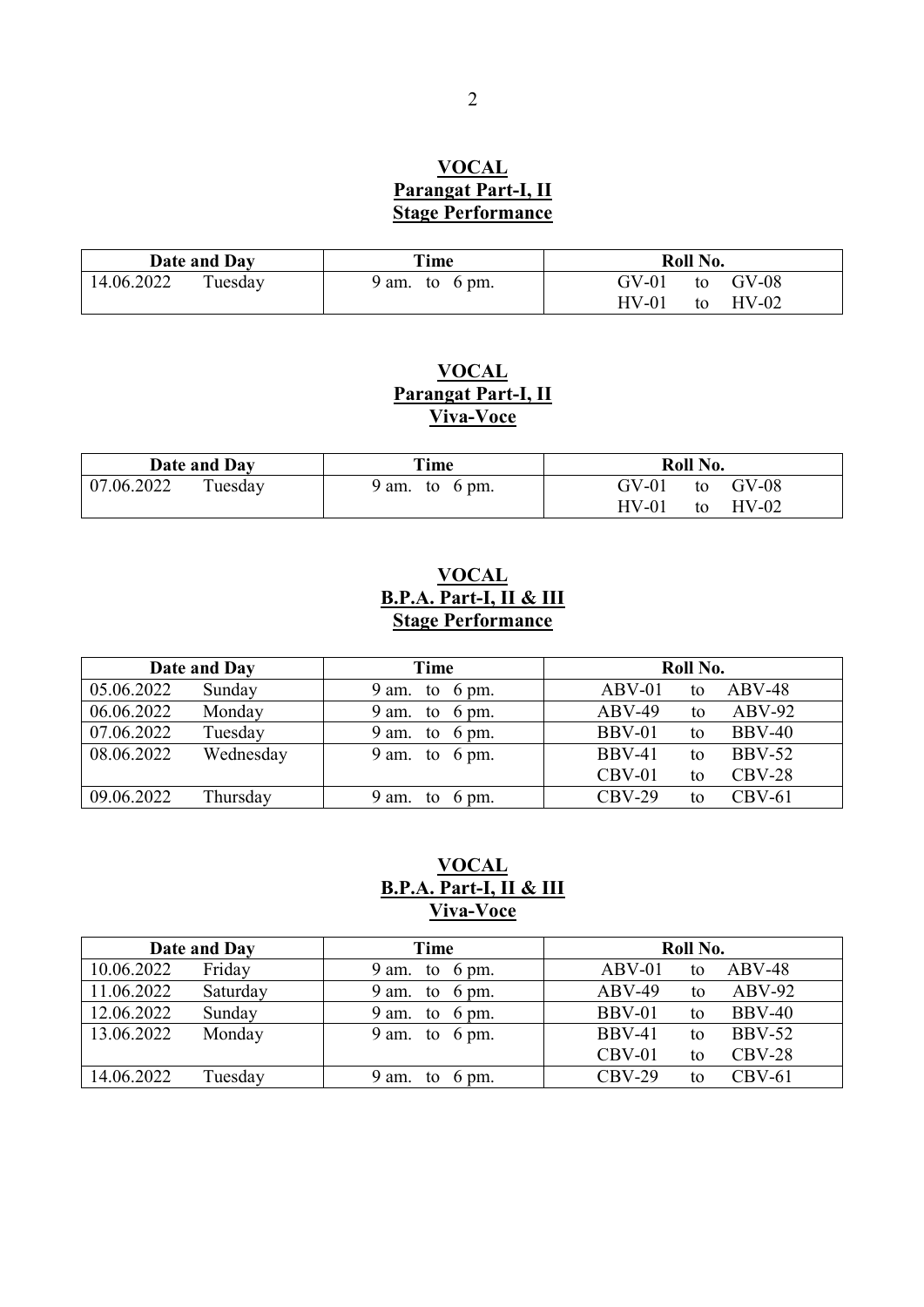# **VOCAL Parangat Part-I, II Stage Performance**

|            | Date and Day | Time                      | Roll No.                 |
|------------|--------------|---------------------------|--------------------------|
| 14.06.2022 | Tuesday      | 9 am. to $6 \text{ pm}$ . | $GV-01$<br>$GV-08$<br>to |
|            |              |                           | $HV-01$<br>$HV-02$<br>to |

# **VOCAL Parangat Part-I, II Viva-Voce**

|            | Date and Day | Time           | Roll No.                 |
|------------|--------------|----------------|--------------------------|
| 07.06.2022 | Tuesday      | 9 am. to 6 pm. | to GV-08<br>GV-01        |
|            |              |                | $HV-01$<br>$HV-02$<br>to |

# **VOCAL B.P.A. Part-I, II & III Stage Performance**

|            | Date and Day | Time                         | Roll No.                             |
|------------|--------------|------------------------------|--------------------------------------|
| 05.06.2022 | Sunday       | 9 am. to $6 \text{ pm}$ .    | $ABV-48$<br>$ABV-01$<br>to           |
| 06.06.2022 | Monday       | 9 am. to $6 \text{ pm}$ .    | $ABV-92$<br>$ABV-49$<br>to           |
| 07.06.2022 | Tuesday      | 9 am. to $6 \text{ pm}$ .    | $BBV-01$<br><b>BBV-40</b><br>to      |
| 08.06.2022 | Wednesday    | 9 am. to $6 \text{ pm}$ .    | <b>BBV-41</b><br><b>BBV-52</b><br>to |
|            |              |                              | $CBV-28$<br>$CBV-01$<br>to           |
| 09.06.2022 | Thursday     | 9 am.<br>to $6 \text{ pm}$ . | $CBV-29$<br>$CBV-61$<br>to           |

# **VOCAL B.P.A. Part-I, II & III Viva-Voce**

|            | Date and Day | Time                         | Roll No.                             |
|------------|--------------|------------------------------|--------------------------------------|
| 10.06.2022 | Friday       | 9 am. to $6 \text{ pm}$ .    | $ABV-48$<br>$ABV-01$<br>to           |
| 11.06.2022 | Saturday     | 9 am. to $6 \text{ pm}$ .    | $ABV-92$<br>$ABV-49$<br>to           |
| 12.06.2022 | Sunday       | 9 am. to $6 \text{ pm}$ .    | <b>BBV-40</b><br>$BBV-01$<br>to      |
| 13.06.2022 | Monday       | 9 am. to $6 \text{ pm}$ .    | <b>BBV-52</b><br><b>BBV-41</b><br>to |
|            |              |                              | $CBV-28$<br>$CBV-01$<br>to           |
| 14.06.2022 | Tuesday      | 9 am.<br>to $6 \text{ pm}$ . | $CBV-29$<br>$CBV-61$<br>to           |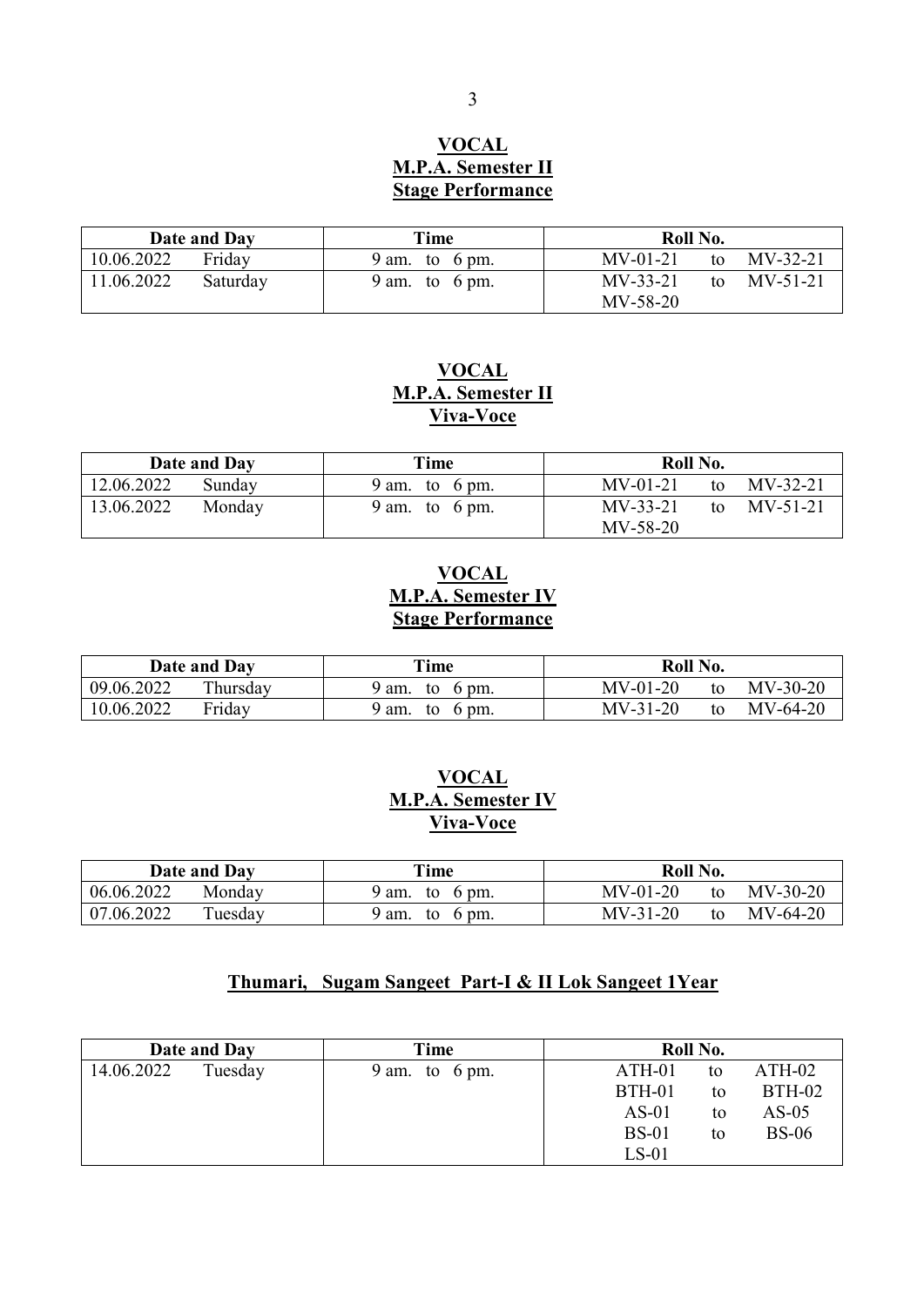#### **VOCAL M.P.A. Semester II Stage Performance**

|            | Date and Day | Time                      | Roll No.                                  |
|------------|--------------|---------------------------|-------------------------------------------|
| 10.06.2022 | Friday       | 9 am. to 6 pm.            | $MV-32-21$<br>$MV-01-21$<br>to            |
| 11.06.2022 | Saturday     | 9 am. to $6 \text{ pm}$ . | $MV-33-21$<br>to $MV-51-21$<br>$MV-58-20$ |

#### **VOCAL M.P.A. Semester II Viva-Voce**

|            | Date and Day | Time           | Roll No.                       |            |
|------------|--------------|----------------|--------------------------------|------------|
| 12.06.2022 | Sunday       | 9 am. to 6 pm. | $MV-01-21$<br>to               | $MV-32-21$ |
| 13.06.2022 | Monday       | 9 am. to 6 pm. | $MV-33-21$<br>to<br>$MV-58-20$ | MV-51-21   |

# **VOCAL M.P.A. Semester IV Stage Performance**

|            | Date and Day | Time           | Roll No.                       |
|------------|--------------|----------------|--------------------------------|
| 09.06.2022 | Thursday     | 9 am. to 6 pm. | $MV-30-20$<br>$MV-01-20$<br>to |
| 10.06.2022 | Friday       | 9 am. to 6 pm. | $MV-31-20$<br>$MV-64-20$<br>to |

# **VOCAL M.P.A. Semester IV Viva-Voce**

|            | Date and Day | Time           | Roll No.                       |
|------------|--------------|----------------|--------------------------------|
| 06.06.2022 | Monday       | 9 am. to 6 pm. | $MV-30-20$<br>$MV-01-20$<br>to |
| 07.06.2022 | Tuesday      | 9 am. to 6 pm. | $MV-64-20$<br>$MV-31-20$<br>to |

# **Thumari, Sugam Sangeet Part-I & II Lok Sangeet 1Year**

|            | Date and Day | Time                         | Roll No.      |    |               |
|------------|--------------|------------------------------|---------------|----|---------------|
| 14.06.2022 | Tuesday      | to $6 \text{ pm}$ .<br>9 am. | $ATH-01$      | to | $ATH-02$      |
|            |              |                              | <b>BTH-01</b> | to | <b>BTH-02</b> |
|            |              |                              | $AS-01$       | to | $AS-05$       |
|            |              |                              | <b>BS-01</b>  | to | <b>BS-06</b>  |
|            |              |                              | $LS-01$       |    |               |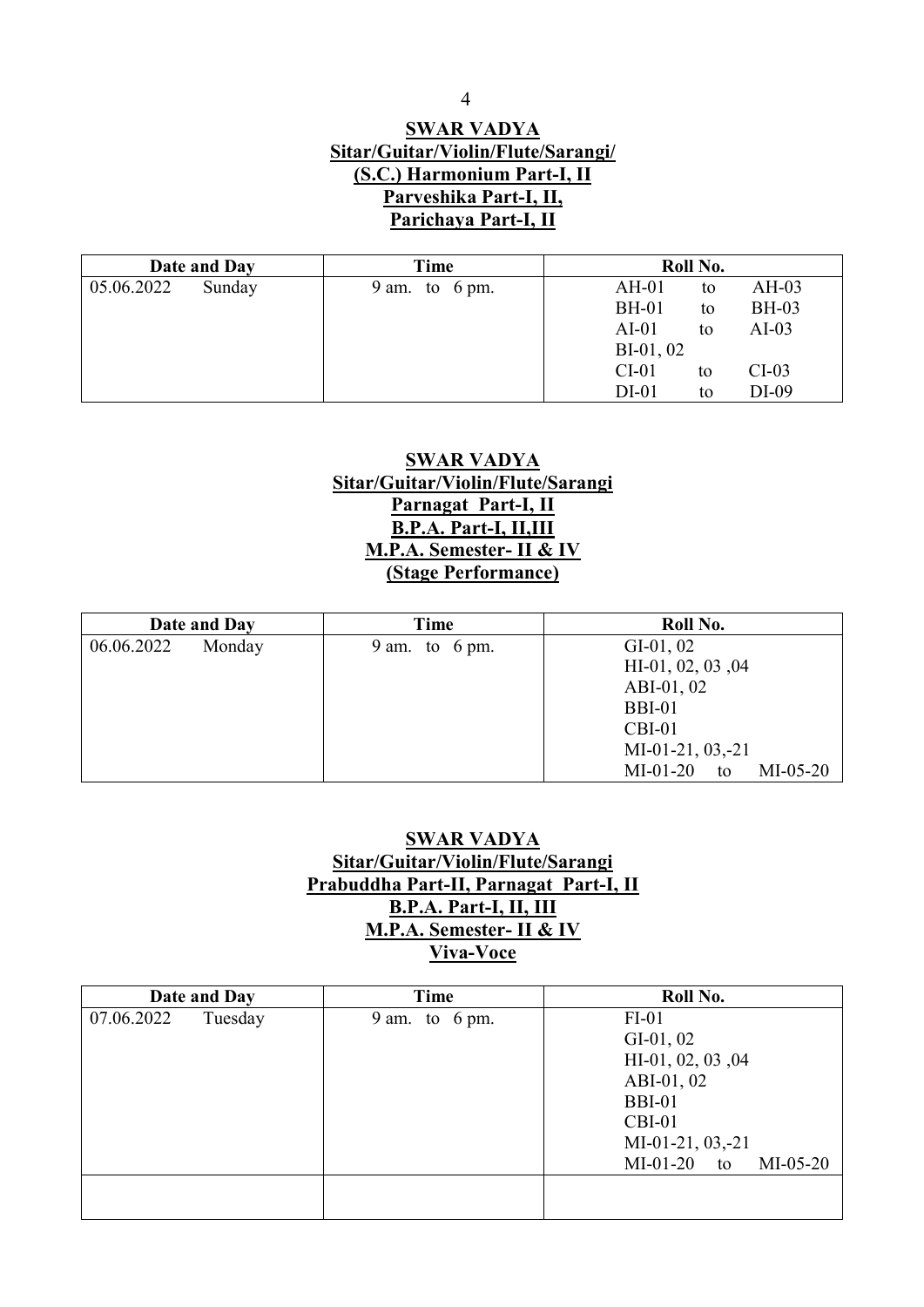## **SWAR VADYA Sitar/Guitar/Violin/Flute/Sarangi/ (S.C.) Harmonium Part-I, II Parveshika Part-I, II, Parichaya Part-I, II**

|            | Date and Day | Time                         | Roll No.                           |
|------------|--------------|------------------------------|------------------------------------|
| 05.06.2022 | Sunday       | to $6 \text{ pm}$ .<br>9 am. | $AH-03$<br>$AH-01$<br>to           |
|            |              |                              | <b>BH-01</b><br><b>BH-03</b><br>to |
|            |              |                              | $AI-01$<br>$AI-03$<br>to           |
|            |              |                              | $BI-01, 02$                        |
|            |              |                              | $CI-01$<br>$CI-03$<br>to           |
|            |              |                              | $DI-09$<br>$DI-01$<br>to           |

#### **SWAR VADYA Sitar/Guitar/Violin/Flute/Sarangi Parnagat Part-I, II B.P.A. Part-I, II,III M.P.A. Semester- II & IV (Stage Performance)**

|            | Date and Day | Time                      | Roll No.                                                                                                                               |
|------------|--------------|---------------------------|----------------------------------------------------------------------------------------------------------------------------------------|
| 06.06.2022 | Monday       | 9 am. to $6 \text{ pm}$ . | $GI-01, 02$<br>$HI-01, 02, 03, 04$<br>ABI-01, 02<br><b>BBI-01</b><br>$CBI-01$<br>$MI-01-21, 03, -21$<br>$MI-05-20$<br>$MI-01-20$<br>to |

#### **SWAR VADYA Sitar/Guitar/Violin/Flute/Sarangi Prabuddha Part-II, Parnagat Part-I, II B.P.A. Part-I, II, III M.P.A. Semester- II & IV Viva-Voce**

|            | Date and Day | Time                      | Roll No.                       |
|------------|--------------|---------------------------|--------------------------------|
| 07.06.2022 | Tuesday      | 9 am. to $6 \text{ pm}$ . | $FI-01$                        |
|            |              |                           | $GI-01, 02$                    |
|            |              |                           | HI-01, 02, 03, 04              |
|            |              |                           | ABI-01, 02                     |
|            |              |                           | <b>BBI-01</b>                  |
|            |              |                           | $CBI-01$                       |
|            |              |                           | $MI-01-21, 03, -21$            |
|            |              |                           | $MI-01-20$<br>$MI-05-20$<br>to |
|            |              |                           |                                |
|            |              |                           |                                |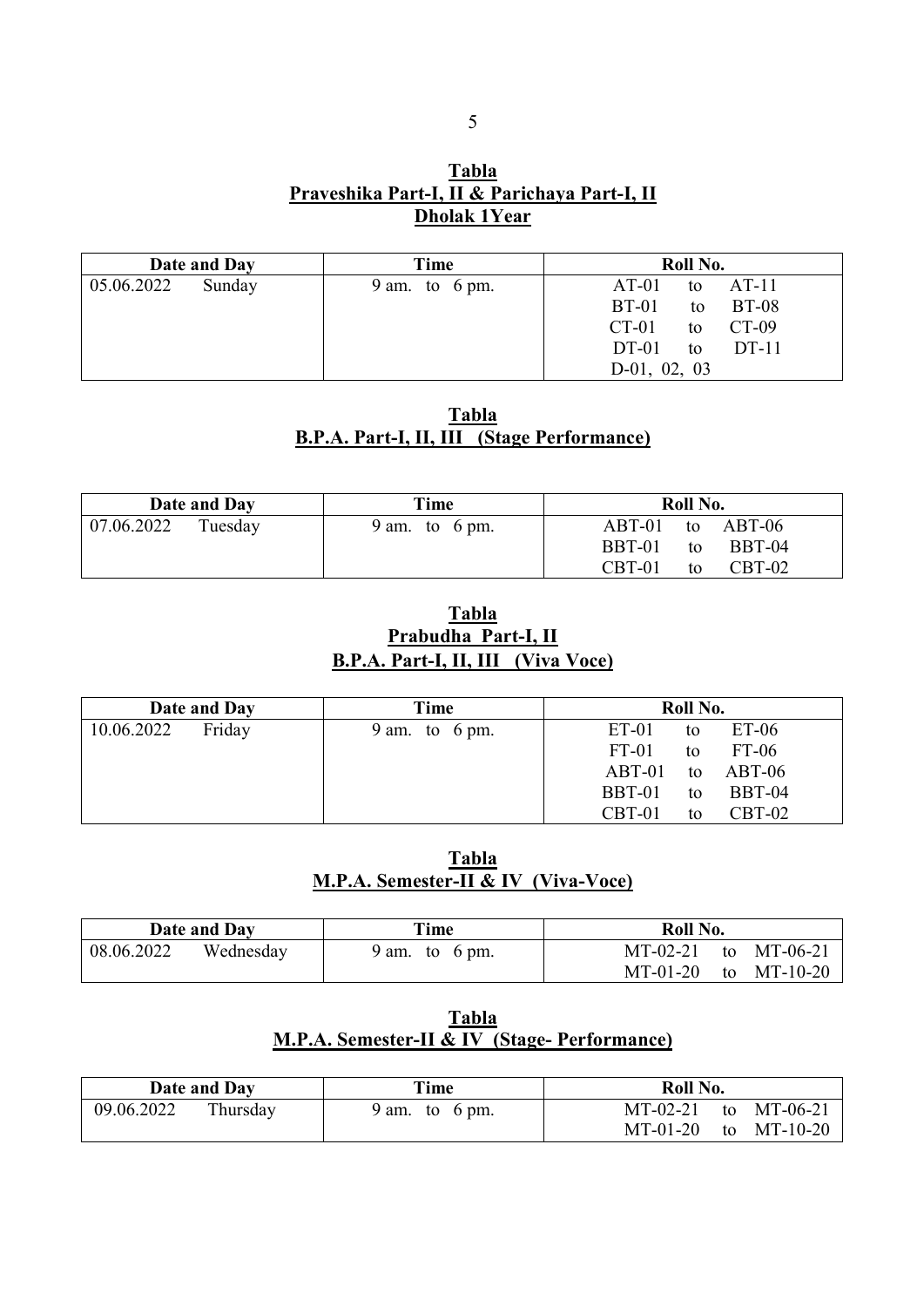# **Tabla Praveshika Part-I, II & Parichaya Part-I, II Dholak 1Year**

|            | Date and Day | Time                      | Roll No.                      |
|------------|--------------|---------------------------|-------------------------------|
| 05.06.2022 | Sunday       | 9 am. to $6 \text{ pm}$ . | $AT-01$<br>$AT-11$<br>to      |
|            |              |                           | $BT-01$<br><b>BT-08</b><br>to |
|            |              |                           | CT-09<br>$CT-01$<br>to        |
|            |              |                           | $DT-01$<br>$DT-11$<br>to      |
|            |              |                           | 02,<br>$D-01$ ,<br>- 03       |

#### **Tabla B.P.A. Part-I, II, III (Stage Performance)**

|            | Date and Day | Time                      | Roll No.                   |
|------------|--------------|---------------------------|----------------------------|
| 07.06.2022 | Tuesday      | 9 am. to $6 \text{ pm}$ . | to ABT-06<br>$ABT-01$      |
|            |              |                           | BBT-01<br>BBT-04<br>to     |
|            |              |                           | $CBT-01$<br>$CBT-02$<br>to |

#### **Tabla Prabudha Part-I, II B.P.A. Part-I, II, III (Viva Voce)**

|            | Date and Day | Time                         | Roll No.                      |
|------------|--------------|------------------------------|-------------------------------|
| 10.06.2022 | Friday       | to $6 \text{ pm}$ .<br>9 am. | $ET-06$<br>$ET-01$<br>to      |
|            |              |                              | $FT-06$<br>$FT-01$<br>to      |
|            |              |                              | $ABT-01$<br>$ABT-06$<br>to    |
|            |              |                              | <b>BBT-04</b><br>BBT-01<br>to |
|            |              |                              | CBT-02<br>$CBT-01$<br>to      |

# **Tabla M.P.A. Semester-II & IV (Viva-Voce)**

|            | Date and Day | Time           | Roll No.                  |
|------------|--------------|----------------|---------------------------|
| 08.06.2022 | Wednesday    | 9 am. to 6 pm. | MT-02-21 to MT-06-21      |
|            |              |                | $MT-01-20$<br>to MT-10-20 |

#### **Tabla M.P.A. Semester-II & IV (Stage- Performance)**

|            | Date and Day | Time           | Roll No.                  |
|------------|--------------|----------------|---------------------------|
| 09.06.2022 | Thursday     | 9 am. to 6 pm. | MT-02-21 to MT-06-21      |
|            |              |                | $MT-01-20$<br>to MT-10-20 |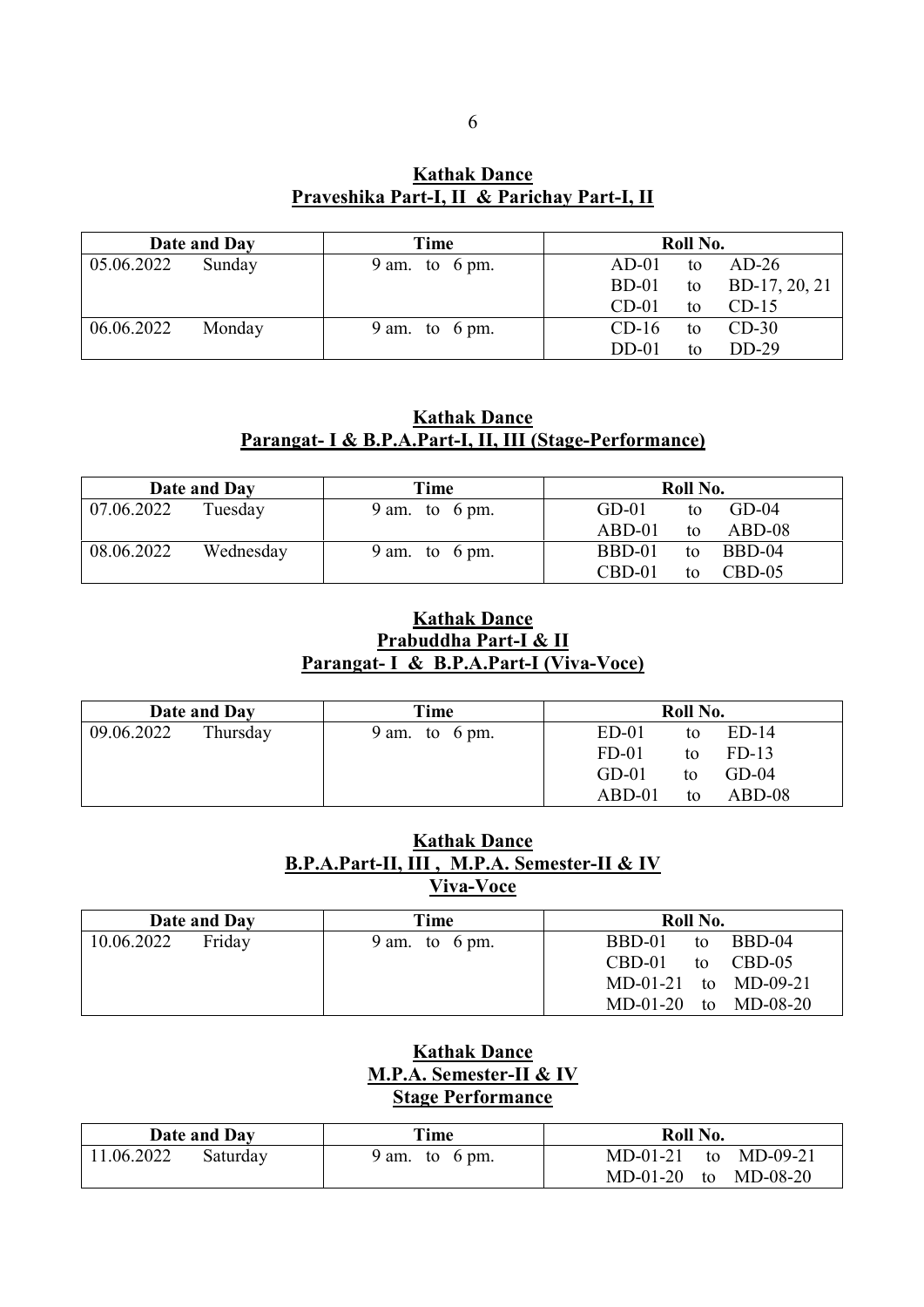**Kathak Dance Praveshika Part-I, II & Parichay Part-I, II**

|            | Date and Day | Time                      | Roll No.                       |
|------------|--------------|---------------------------|--------------------------------|
| 05.06.2022 | Sunday       | 9 am. to $6 \text{ pm}$ . | $AD-01$<br>$AD-26$<br>to       |
|            |              |                           | BD-17, 20, 21<br>$BD-01$<br>to |
|            |              |                           | $CD-01$<br>$CD-15$<br>to       |
| 06.06.2022 | Monday       | 9 am. to $6 \text{ pm}$ . | $CD-30$<br>$CD-16$<br>to       |
|            |              |                           | $DD-29$<br>$DD-01$<br>to       |

#### **Kathak Dance Parangat- I & B.P.A.Part-I, II, III (Stage-Performance)**

|                        | Date and Day | Time                      | Roll No.                   |
|------------------------|--------------|---------------------------|----------------------------|
| $\mid 07.06.2022 \mid$ | Tuesday      | 9 am. to $6 \text{ pm}$ . | $GD-01$<br>$GD-04$<br>to   |
|                        |              |                           | $ABD-08$<br>$ABD-01$<br>to |
| 08.06.2022             | Wednesday    | 9 am. to $6 \text{ pm}$ . | BBD-01<br>BBD-04<br>to     |
|                        |              |                           | $CBD-01$<br>$CBD-05$<br>to |

#### **Kathak Dance Prabuddha Part-I & II Parangat- I & B.P.A.Part-I (Viva-Voce)**

|            | Date and Day | Time                      |          | Roll No. |          |
|------------|--------------|---------------------------|----------|----------|----------|
| 09.06.2022 | Thursday     | 9 am. to $6 \text{ pm}$ . | $ED-01$  | to       | $ED-14$  |
|            |              |                           | $FD-01$  | to       | $FD-13$  |
|            |              |                           | $GD-01$  | to       | $GD-04$  |
|            |              |                           | $ABD-01$ | to       | $ABD-08$ |

#### **Kathak Dance B.P.A.Part-II, III , M.P.A. Semester-II & IV Viva-Voce**

| Date and Day |        | Time                      | Roll No.                 |
|--------------|--------|---------------------------|--------------------------|
| 10.06.2022   | Friday | 9 am. to $6 \text{ pm}$ . | to BBD-04<br>BBD-01      |
|              |        |                           | to CBD-05<br>CBD-01      |
|              |        |                           | MD-01-21 to MD-09-21     |
|              |        |                           | $MD-01-20$ to $MD-08-20$ |

#### **Kathak Dance M.P.A. Semester-II & IV Stage Performance**

| Date and Day |          | Time           | Roll No.             |  |
|--------------|----------|----------------|----------------------|--|
| 11.06.2022   | Saturday | 9 am. to 6 pm. | MD-01-21 to MD-09-21 |  |
|              |          |                | MD-01-20 to MD-08-20 |  |